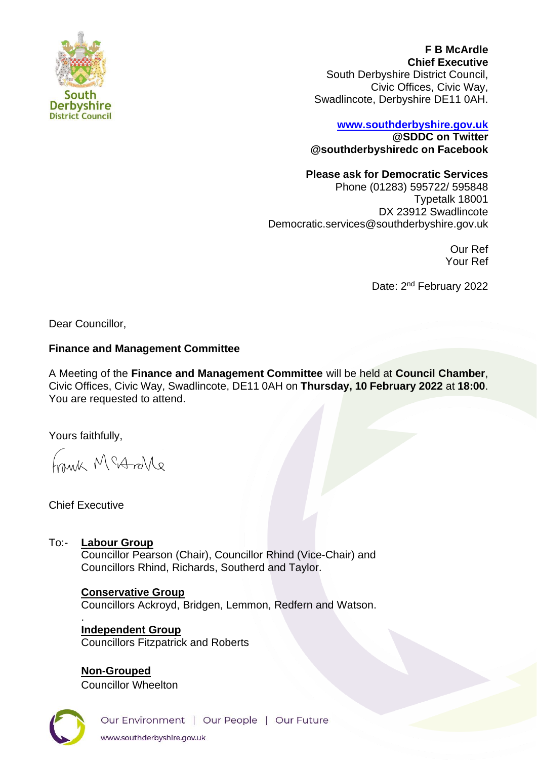

**F B McArdle Chief Executive** South Derbyshire District Council, Civic Offices, Civic Way, Swadlincote, Derbyshire DE11 0AH.

# **[www.southderbyshire.gov.uk](http://www.southderbyshire.gov.uk/) @SDDC on Twitter**

**@southderbyshiredc on Facebook**

### **Please ask for Democratic Services**

Phone (01283) 595722/ 595848 Typetalk 18001 DX 23912 Swadlincote Democratic.services@southderbyshire.gov.uk

> Our Ref Your Ref

Date: 2<sup>nd</sup> February 2022

Dear Councillor,

### **Finance and Management Committee**

A Meeting of the **Finance and Management Committee** will be held at **Council Chamber**, Civic Offices, Civic Way, Swadlincote, DE11 0AH on **Thursday, 10 February 2022** at **18:00**. You are requested to attend.

Yours faithfully,

Frank McArlle

Chief Executive

To:- **Labour Group** Councillor Pearson (Chair), Councillor Rhind (Vice-Chair) and Councillors Rhind, Richards, Southerd and Taylor.

> **Conservative Group**  Councillors Ackroyd, Bridgen, Lemmon, Redfern and Watson. .

**Independent Group**  Councillors Fitzpatrick and Roberts

**Non-Grouped** Councillor Wheelton

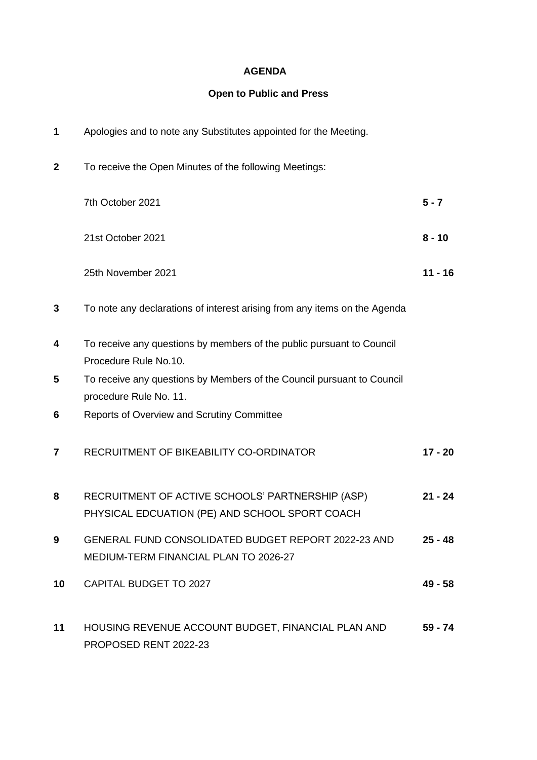### **AGENDA**

# **Open to Public and Press**

| 1               | Apologies and to note any Substitutes appointed for the Meeting.                                   |           |
|-----------------|----------------------------------------------------------------------------------------------------|-----------|
| $\mathbf{2}$    | To receive the Open Minutes of the following Meetings:                                             |           |
|                 | 7th October 2021                                                                                   | $5 - 7$   |
|                 | 21st October 2021                                                                                  | $8 - 10$  |
|                 | 25th November 2021                                                                                 | $11 - 16$ |
| 3               | To note any declarations of interest arising from any items on the Agenda                          |           |
| 4               | To receive any questions by members of the public pursuant to Council<br>Procedure Rule No.10.     |           |
| 5               | To receive any questions by Members of the Council pursuant to Council<br>procedure Rule No. 11.   |           |
| 6               | <b>Reports of Overview and Scrutiny Committee</b>                                                  |           |
| 7               | RECRUITMENT OF BIKEABILITY CO-ORDINATOR                                                            | $17 - 20$ |
| 8               | RECRUITMENT OF ACTIVE SCHOOLS' PARTNERSHIP (ASP)<br>PHYSICAL EDCUATION (PE) AND SCHOOL SPORT COACH | $21 - 24$ |
| 9               | GENERAL FUND CONSOLIDATED BUDGET REPORT 2022-23 AND<br>MEDIUM-TERM FINANCIAL PLAN TO 2026-27       | $25 - 48$ |
| 10 <sup>°</sup> | <b>CAPITAL BUDGET TO 2027</b>                                                                      | $49 - 58$ |
| 11              | HOUSING REVENUE ACCOUNT BUDGET, FINANCIAL PLAN AND<br>PROPOSED RENT 2022-23                        | 59 - 74   |